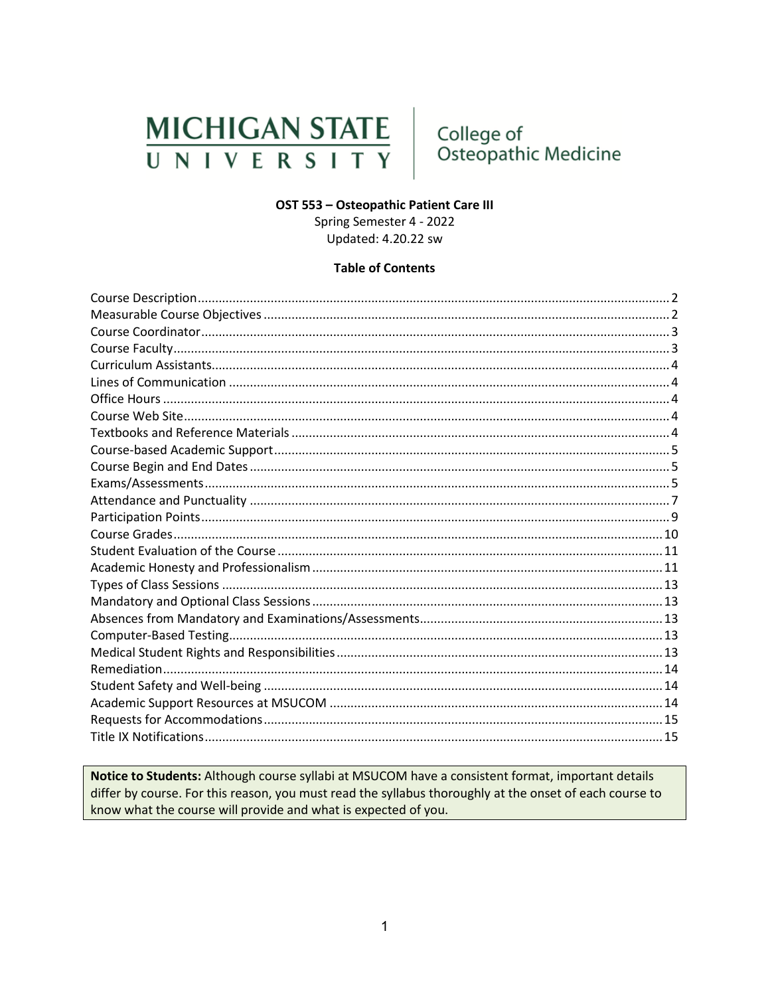# **MICHIGAN STATE** UNIVERSITY

# College of Osteopathic Medicine

# OST 553 - Osteopathic Patient Care III

Spring Semester 4 - 2022 Updated: 4.20.22 sw

# **Table of Contents**

Notice to Students: Although course syllabi at MSUCOM have a consistent format, important details differ by course. For this reason, you must read the syllabus thoroughly at the onset of each course to know what the course will provide and what is expected of you.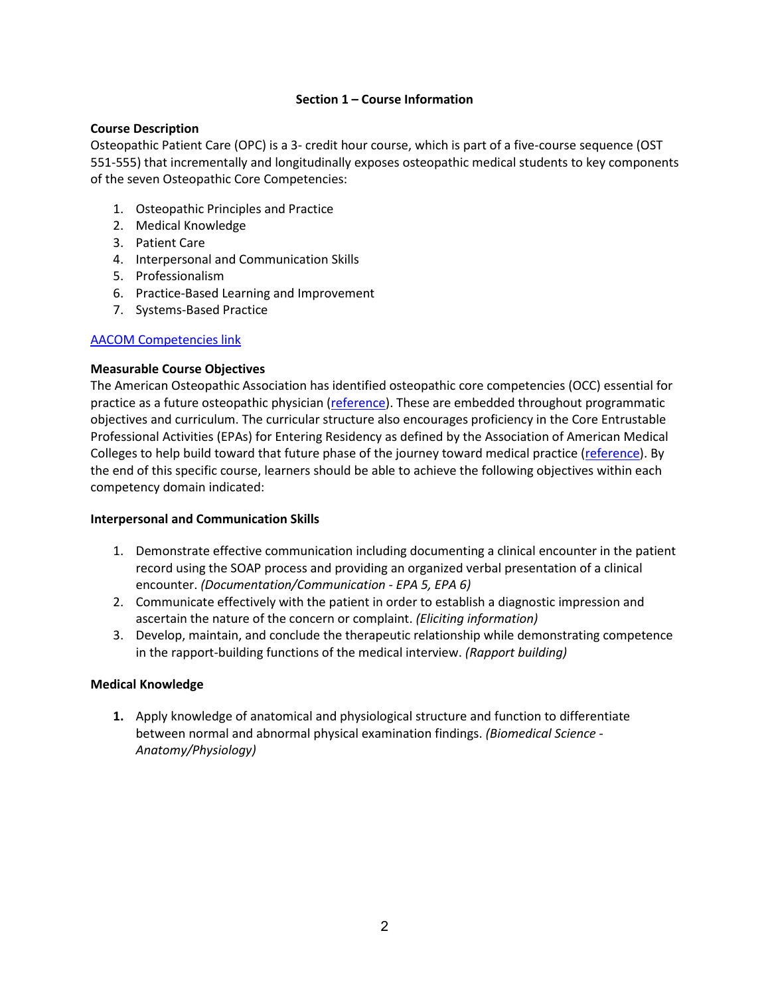# **Section 1 – Course Information**

# <span id="page-1-0"></span>**Course Description**

Osteopathic Patient Care (OPC) is a 3- credit hour course, which is part of a five-course sequence (OST 551-555) that incrementally and longitudinally exposes osteopathic medical students to key components of the seven Osteopathic Core Competencies:

- 1. Osteopathic Principles and Practice
- 2. Medical Knowledge
- 3. Patient Care
- 4. Interpersonal and Communication Skills
- 5. Professionalism
- 6. Practice-Based Learning and Improvement
- 7. Systems-Based Practice

# [AACOM Competencies link](https://www.aacom.org/ome/profdev/occ/successful-practices)

# <span id="page-1-1"></span>**Measurable Course Objectives**

The American Osteopathic Association has identified osteopathic core competencies (OCC) essential for practice as a future osteopathic physician [\(reference\)](https://www.aacom.org/docs/default-source/core-competencies/corecompetencyreport2012.pdf?sfvrsn=4). These are embedded throughout programmatic objectives and curriculum. The curricular structure also encourages proficiency in the Core Entrustable Professional Activities (EPAs) for Entering Residency as defined by the Association of American Medical Colleges to help build toward that future phase of the journey toward medical practice [\(reference\)](https://store.aamc.org/downloadable/download/sample/sample_id/66/). By the end of this specific course, learners should be able to achieve the following objectives within each competency domain indicated:

# **Interpersonal and Communication Skills**

- 1. Demonstrate effective communication including documenting a clinical encounter in the patient record using the SOAP process and providing an organized verbal presentation of a clinical encounter. *(Documentation/Communication - EPA 5, EPA 6)*
- 2. Communicate effectively with the patient in order to establish a diagnostic impression and ascertain the nature of the concern or complaint. *(Eliciting information)*
- 3. Develop, maintain, and conclude the therapeutic relationship while demonstrating competence in the rapport-building functions of the medical interview. *(Rapport building)*

# **Medical Knowledge**

**1.** Apply knowledge of anatomical and physiological structure and function to differentiate between normal and abnormal physical examination findings. *(Biomedical Science - Anatomy/Physiology)*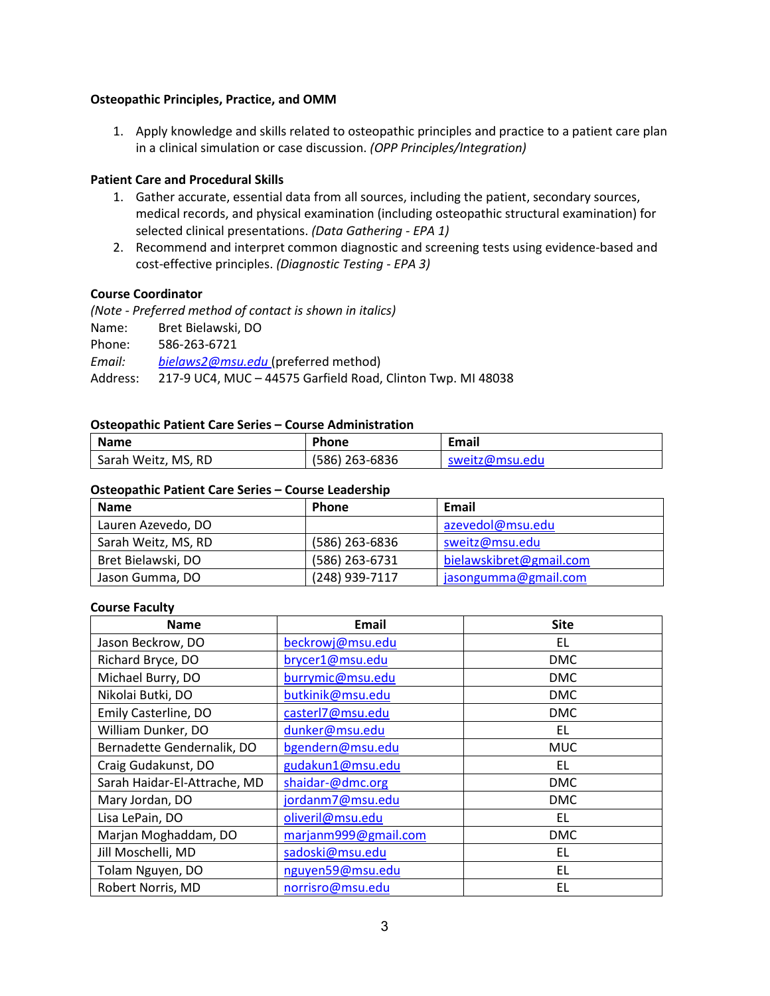# **Osteopathic Principles, Practice, and OMM**

1. Apply knowledge and skills related to osteopathic principles and practice to a patient care plan in a clinical simulation or case discussion. *(OPP Principles/Integration)*

# **Patient Care and Procedural Skills**

- 1. Gather accurate, essential data from all sources, including the patient, secondary sources, medical records, and physical examination (including osteopathic structural examination) for selected clinical presentations. *(Data Gathering - EPA 1)*
- 2. Recommend and interpret common diagnostic and screening tests using evidence-based and cost-effective principles. *(Diagnostic Testing - EPA 3)*

### <span id="page-2-0"></span>**Course Coordinator**

*(Note - Preferred method of contact is shown in italics)* Name: Bret Bielawski, DO Phone: 586-263-6721 *Email: [bielaws2@msu.edu](mailto:bielaws2@msu.edu)* (preferred method) Address: 217-9 UC4, MUC – 44575 Garfield Road, Clinton Twp. MI 48038

### **Osteopathic Patient Care Series – Course Administration**

| <b>Name</b>         | <b>Phone</b>   | Email          |
|---------------------|----------------|----------------|
| Sarah Weitz, MS, RD | (586) 263-6836 | sweitz@msu.edu |

### **Osteopathic Patient Care Series – Course Leadership**

| <b>Name</b>         | <b>Phone</b>   | Email                   |  |
|---------------------|----------------|-------------------------|--|
| Lauren Azevedo, DO  |                | azevedol@msu.edu        |  |
| Sarah Weitz, MS, RD | (586) 263-6836 | sweitz@msu.edu          |  |
| Bret Bielawski, DO  | (586) 263-6731 | bielawskibret@gmail.com |  |
| Jason Gumma, DO     | (248) 939-7117 | jasongumma@gmail.com    |  |

### <span id="page-2-1"></span>**Course Faculty**

| <b>Name</b>                  | <b>Email</b>         | <b>Site</b> |
|------------------------------|----------------------|-------------|
| Jason Beckrow, DO            | beckrowj@msu.edu     | EL          |
| Richard Bryce, DO            | brycer1@msu.edu      | <b>DMC</b>  |
| Michael Burry, DO            | burrymic@msu.edu     | <b>DMC</b>  |
| Nikolai Butki, DO            | butkinik@msu.edu     | <b>DMC</b>  |
| Emily Casterline, DO         | casterl7@msu.edu     | <b>DMC</b>  |
| William Dunker, DO           | dunker@msu.edu       | EL.         |
| Bernadette Gendernalik, DO   | bgendern@msu.edu     | <b>MUC</b>  |
| Craig Gudakunst, DO          | gudakun1@msu.edu     | EL          |
| Sarah Haidar-El-Attrache, MD | shaidar-@dmc.org     | <b>DMC</b>  |
| Mary Jordan, DO              | jordanm7@msu.edu     | <b>DMC</b>  |
| Lisa LePain, DO              | oliveril@msu.edu     | EL          |
| Marjan Moghaddam, DO         | marjanm999@gmail.com | <b>DMC</b>  |
| Jill Moschelli, MD           | sadoski@msu.edu      | EL.         |
| Tolam Nguyen, DO             | nguyen59@msu.edu     | EL          |
| Robert Norris, MD            | norrisro@msu.edu     | EL          |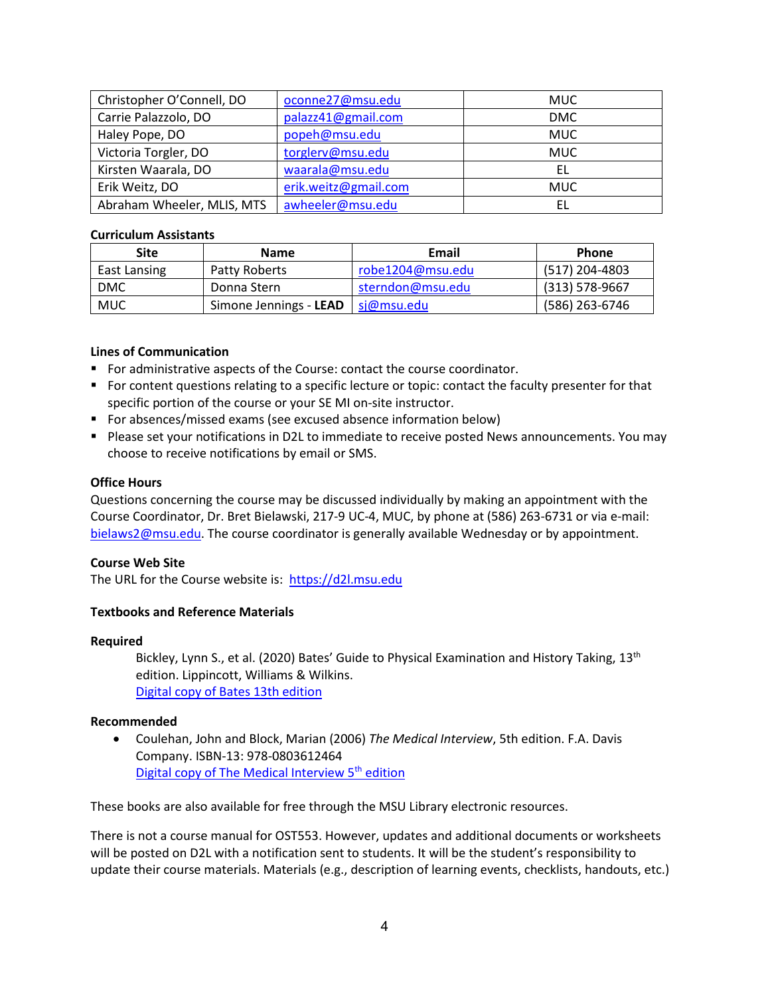| Christopher O'Connell, DO  | oconne27@msu.edu     | <b>MUC</b> |
|----------------------------|----------------------|------------|
| Carrie Palazzolo, DO       | palazz41@gmail.com   | <b>DMC</b> |
| Haley Pope, DO             | popeh@msu.edu        | <b>MUC</b> |
| Victoria Torgler, DO       | torglerv@msu.edu     | <b>MUC</b> |
| Kirsten Waarala, DO        | waarala@msu.edu      | EL         |
| Erik Weitz, DO             | erik.weitz@gmail.com | <b>MUC</b> |
| Abraham Wheeler, MLIS, MTS | awheeler@msu.edu     | EL         |

# <span id="page-3-0"></span>**Curriculum Assistants**

| <b>Site</b>  | <b>Name</b>            | Email            | <b>Phone</b>     |
|--------------|------------------------|------------------|------------------|
| East Lansing | Patty Roberts          | robe1204@msu.edu | (517) 204-4803   |
| <b>DMC</b>   | Donna Stern            | sterndon@msu.edu | $(313) 578-9667$ |
| <b>MUC</b>   | Simone Jennings - LEAD | si@msu.edu       | (586) 263-6746   |

# <span id="page-3-1"></span>**Lines of Communication**

- **For administrative aspects of the Course: contact the course coordinator.**
- For content questions relating to a specific lecture or topic: contact the faculty presenter for that specific portion of the course or your SE MI on-site instructor.
- **For absences/missed exams (see excused absence information below)**
- **Please set your notifications in D2L to immediate to receive posted News announcements. You may** choose to receive notifications by email or SMS.

### <span id="page-3-2"></span>**Office Hours**

Questions concerning the course may be discussed individually by making an appointment with the Course Coordinator, Dr. Bret Bielawski, 217-9 UC-4, MUC, by phone at (586) 263-6731 or via e-mail: [bielaws2@msu.edu.](mailto:bielaws2@msu.edu) The course coordinator is generally available Wednesday or by appointment.

# <span id="page-3-3"></span>**Course Web Site**

The URL for the Course website is: [https://d2l.msu.edu](https://d2l.msu.edu/)

# <span id="page-3-4"></span>**Textbooks and Reference Materials**

### **Required**

Bickley, Lynn S., et al. (2020) Bates' Guide to Physical Examination and History Taking, 13<sup>th</sup> edition. Lippincott, Williams & Wilkins. [Digital copy of Bates 13th edition](https://meded-lwwhealthlibrary-com.proxy1.cl.msu.edu/book.aspx?bookid=2964)

### **Recommended**

• Coulehan, John and Block, Marian (2006) *The Medical Interview*, 5th edition. F.A. Davis Company. ISBN-13: 978-0803612464 Digital copy of The Medical Interview 5<sup>th</sup> edition

These books are also available for free through the MSU Library electronic resources.

There is not a course manual for OST553. However, updates and additional documents or worksheets will be posted on D2L with a notification sent to students. It will be the student's responsibility to update their course materials. Materials (e.g., description of learning events, checklists, handouts, etc.)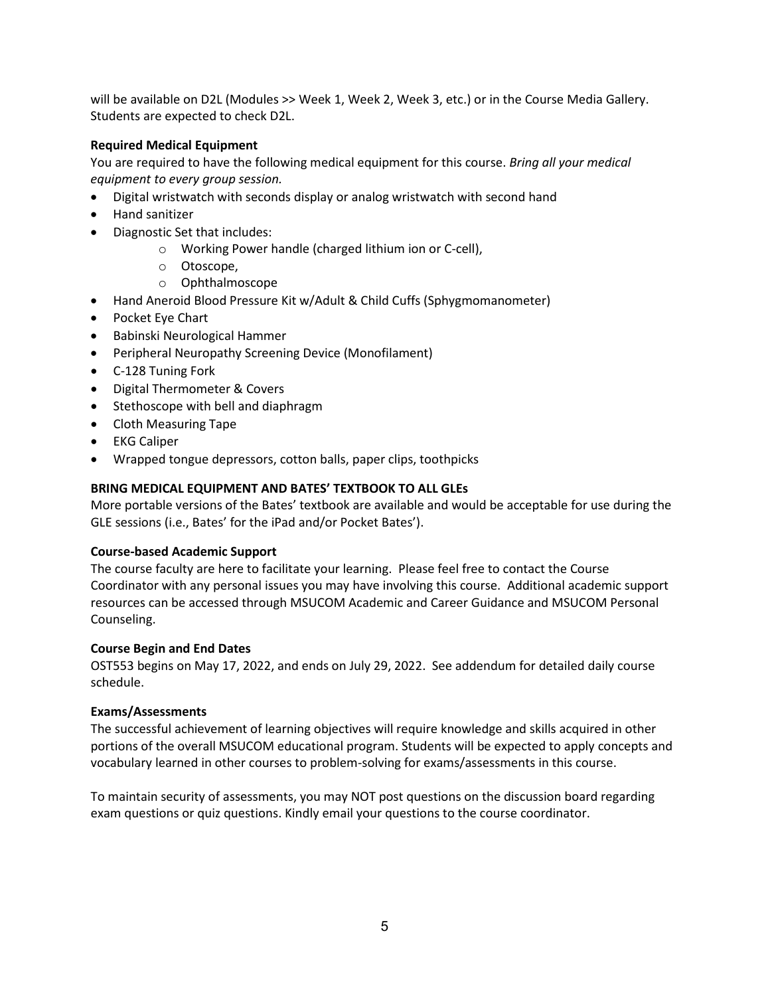will be available on D2L (Modules >> Week 1, Week 2, Week 3, etc.) or in the Course Media Gallery. Students are expected to check D2L.

# **Required Medical Equipment**

You are required to have the following medical equipment for this course. *Bring all your medical equipment to every group session.*

- Digital wristwatch with seconds display or analog wristwatch with second hand
- Hand sanitizer
- Diagnostic Set that includes:
	- o Working Power handle (charged lithium ion or C-cell),
	- o Otoscope,
	- o Ophthalmoscope
- Hand Aneroid Blood Pressure Kit w/Adult & Child Cuffs (Sphygmomanometer)
- Pocket Eye Chart
- Babinski Neurological Hammer
- Peripheral Neuropathy Screening Device (Monofilament)
- C-128 Tuning Fork
- Digital Thermometer & Covers
- Stethoscope with bell and diaphragm
- Cloth Measuring Tape
- EKG Caliper
- Wrapped tongue depressors, cotton balls, paper clips, toothpicks

# **BRING MEDICAL EQUIPMENT AND BATES' TEXTBOOK TO ALL GLEs**

More portable versions of the Bates' textbook are available and would be acceptable for use during the GLE sessions (i.e., Bates' for the iPad and/or Pocket Bates').

# <span id="page-4-0"></span>**Course-based Academic Support**

The course faculty are here to facilitate your learning. Please feel free to contact the Course Coordinator with any personal issues you may have involving this course. Additional academic support resources can be accessed through MSUCOM Academic and Career Guidance and MSUCOM Personal Counseling.

# <span id="page-4-1"></span>**Course Begin and End Dates**

OST553 begins on May 17, 2022, and ends on July 29, 2022. See addendum for detailed daily course schedule.

# <span id="page-4-2"></span>**Exams/Assessments**

The successful achievement of learning objectives will require knowledge and skills acquired in other portions of the overall MSUCOM educational program. Students will be expected to apply concepts and vocabulary learned in other courses to problem-solving for exams/assessments in this course.

To maintain security of assessments, you may NOT post questions on the discussion board regarding exam questions or quiz questions. Kindly email your questions to the course coordinator.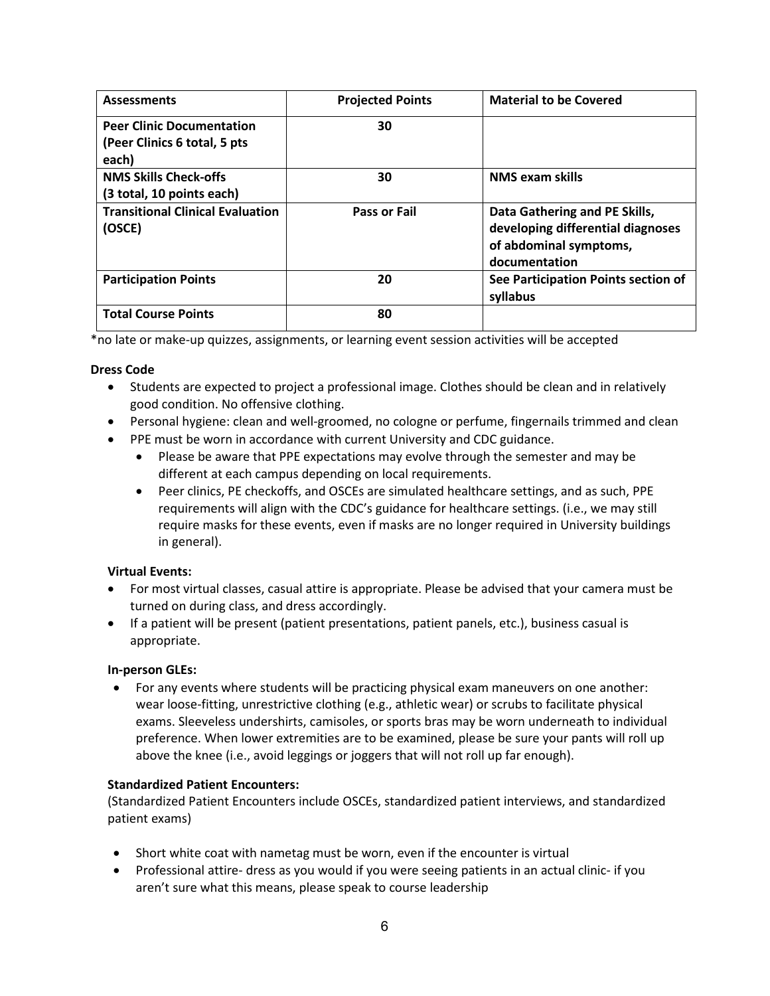| <b>Assessments</b>                                                        | <b>Projected Points</b> | <b>Material to be Covered</b>                                                                                 |
|---------------------------------------------------------------------------|-------------------------|---------------------------------------------------------------------------------------------------------------|
| <b>Peer Clinic Documentation</b><br>(Peer Clinics 6 total, 5 pts<br>each) | 30                      |                                                                                                               |
| <b>NMS Skills Check-offs</b><br>(3 total, 10 points each)                 | 30                      | <b>NMS exam skills</b>                                                                                        |
| <b>Transitional Clinical Evaluation</b><br>(OSCE)                         | <b>Pass or Fail</b>     | Data Gathering and PE Skills,<br>developing differential diagnoses<br>of abdominal symptoms,<br>documentation |
| <b>Participation Points</b>                                               | 20                      | See Participation Points section of<br>syllabus                                                               |
| <b>Total Course Points</b>                                                | 80                      |                                                                                                               |

\*no late or make-up quizzes, assignments, or learning event session activities will be accepted

# **Dress Code**

- Students are expected to project a professional image. Clothes should be clean and in relatively good condition. No offensive clothing.
- Personal hygiene: clean and well-groomed, no cologne or perfume, fingernails trimmed and clean
- PPE must be worn in accordance with current University and CDC guidance.
	- Please be aware that PPE expectations may evolve through the semester and may be different at each campus depending on local requirements.
	- Peer clinics, PE checkoffs, and OSCEs are simulated healthcare settings, and as such, PPE requirements will align with the CDC's guidance for healthcare settings. (i.e., we may still require masks for these events, even if masks are no longer required in University buildings in general).

# **Virtual Events:**

- For most virtual classes, casual attire is appropriate. Please be advised that your camera must be turned on during class, and dress accordingly.
- If a patient will be present (patient presentations, patient panels, etc.), business casual is appropriate.

# **In-person GLEs:**

• For any events where students will be practicing physical exam maneuvers on one another: wear loose-fitting, unrestrictive clothing (e.g., athletic wear) or scrubs to facilitate physical exams. Sleeveless undershirts, camisoles, or sports bras may be worn underneath to individual preference. When lower extremities are to be examined, please be sure your pants will roll up above the knee (i.e., avoid leggings or joggers that will not roll up far enough).

# **Standardized Patient Encounters:**

(Standardized Patient Encounters include OSCEs, standardized patient interviews, and standardized patient exams)

- Short white coat with nametag must be worn, even if the encounter is virtual
- Professional attire- dress as you would if you were seeing patients in an actual clinic- if you aren't sure what this means, please speak to course leadership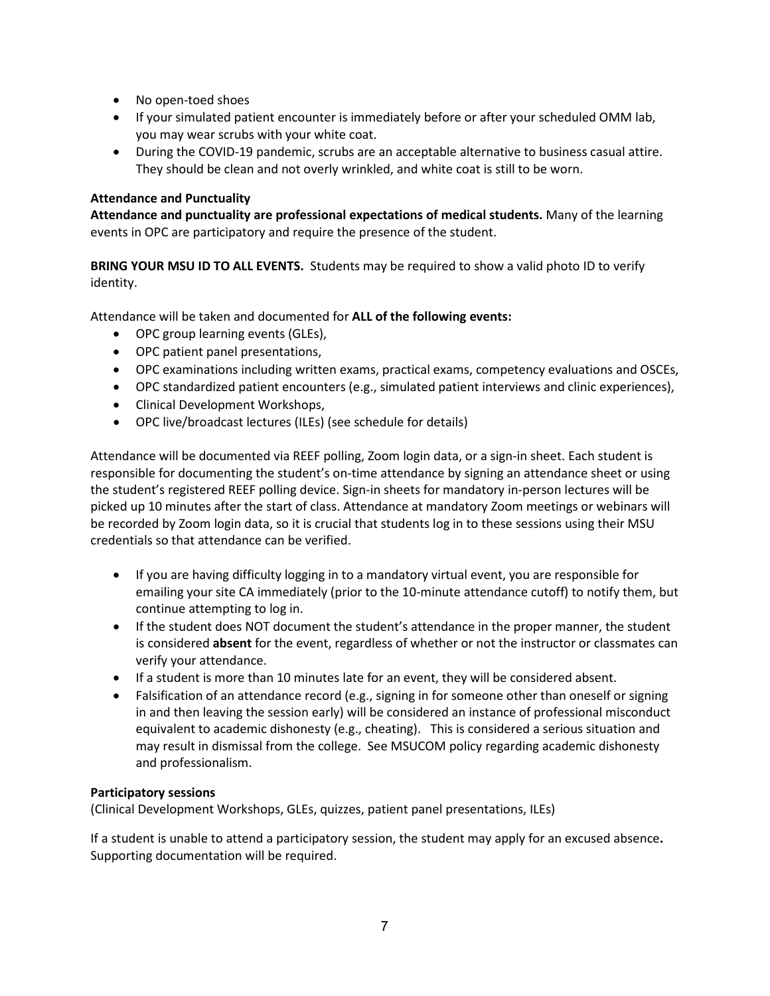- No open-toed shoes
- If your simulated patient encounter is immediately before or after your scheduled OMM lab, you may wear scrubs with your white coat.
- During the COVID-19 pandemic, scrubs are an acceptable alternative to business casual attire. They should be clean and not overly wrinkled, and white coat is still to be worn.

# <span id="page-6-0"></span>**Attendance and Punctuality**

**Attendance and punctuality are professional expectations of medical students.** Many of the learning events in OPC are participatory and require the presence of the student.

**BRING YOUR MSU ID TO ALL EVENTS.** Students may be required to show a valid photo ID to verify identity.

Attendance will be taken and documented for **ALL of the following events:**

- OPC group learning events (GLEs),
- OPC patient panel presentations,
- OPC examinations including written exams, practical exams, competency evaluations and OSCEs,
- OPC standardized patient encounters (e.g., simulated patient interviews and clinic experiences),
- Clinical Development Workshops,
- OPC live/broadcast lectures (ILEs) (see schedule for details)

Attendance will be documented via REEF polling, Zoom login data, or a sign-in sheet. Each student is responsible for documenting the student's on-time attendance by signing an attendance sheet or using the student's registered REEF polling device. Sign-in sheets for mandatory in-person lectures will be picked up 10 minutes after the start of class. Attendance at mandatory Zoom meetings or webinars will be recorded by Zoom login data, so it is crucial that students log in to these sessions using their MSU credentials so that attendance can be verified.

- If you are having difficulty logging in to a mandatory virtual event, you are responsible for emailing your site CA immediately (prior to the 10-minute attendance cutoff) to notify them, but continue attempting to log in.
- If the student does NOT document the student's attendance in the proper manner, the student is considered **absent** for the event, regardless of whether or not the instructor or classmates can verify your attendance.
- If a student is more than 10 minutes late for an event, they will be considered absent.
- Falsification of an attendance record (e.g., signing in for someone other than oneself or signing in and then leaving the session early) will be considered an instance of professional misconduct equivalent to academic dishonesty (e.g., cheating). This is considered a serious situation and may result in dismissal from the college. See MSUCOM policy regarding academic dishonesty and professionalism.

# **Participatory sessions**

(Clinical Development Workshops, GLEs, quizzes, patient panel presentations, ILEs)

If a student is unable to attend a participatory session, the student may apply for an excused absence**.** Supporting documentation will be required.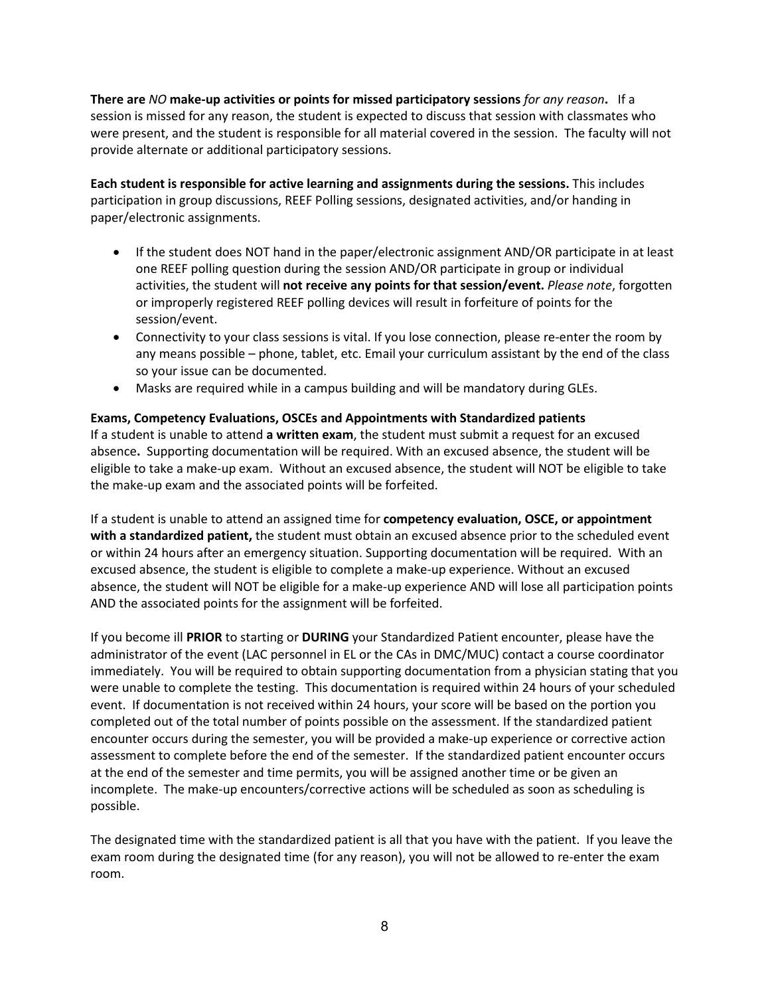**There are** *NO* **make-up activities or points for missed participatory sessions** *for any reason***.** If a session is missed for any reason, the student is expected to discuss that session with classmates who were present, and the student is responsible for all material covered in the session. The faculty will not provide alternate or additional participatory sessions.

**Each student is responsible for active learning and assignments during the sessions.** This includes participation in group discussions, REEF Polling sessions, designated activities, and/or handing in paper/electronic assignments.

- If the student does NOT hand in the paper/electronic assignment AND/OR participate in at least one REEF polling question during the session AND/OR participate in group or individual activities, the student will **not receive any points for that session/event.** *Please note*, forgotten or improperly registered REEF polling devices will result in forfeiture of points for the session/event.
- Connectivity to your class sessions is vital. If you lose connection, please re-enter the room by any means possible – phone, tablet, etc. Email your curriculum assistant by the end of the class so your issue can be documented.
- Masks are required while in a campus building and will be mandatory during GLEs.

# **Exams, Competency Evaluations, OSCEs and Appointments with Standardized patients**

If a student is unable to attend **a written exam**, the student must submit a request for an excused absence**.** Supporting documentation will be required. With an excused absence, the student will be eligible to take a make-up exam. Without an excused absence, the student will NOT be eligible to take the make-up exam and the associated points will be forfeited.

If a student is unable to attend an assigned time for **competency evaluation, OSCE, or appointment with a standardized patient,** the student must obtain an excused absence prior to the scheduled event or within 24 hours after an emergency situation. Supporting documentation will be required. With an excused absence, the student is eligible to complete a make-up experience. Without an excused absence, the student will NOT be eligible for a make-up experience AND will lose all participation points AND the associated points for the assignment will be forfeited.

If you become ill **PRIOR** to starting or **DURING** your Standardized Patient encounter, please have the administrator of the event (LAC personnel in EL or the CAs in DMC/MUC) contact a course coordinator immediately. You will be required to obtain supporting documentation from a physician stating that you were unable to complete the testing. This documentation is required within 24 hours of your scheduled event. If documentation is not received within 24 hours, your score will be based on the portion you completed out of the total number of points possible on the assessment. If the standardized patient encounter occurs during the semester, you will be provided a make-up experience or corrective action assessment to complete before the end of the semester. If the standardized patient encounter occurs at the end of the semester and time permits, you will be assigned another time or be given an incomplete. The make-up encounters/corrective actions will be scheduled as soon as scheduling is possible.

The designated time with the standardized patient is all that you have with the patient. If you leave the exam room during the designated time (for any reason), you will not be allowed to re-enter the exam room.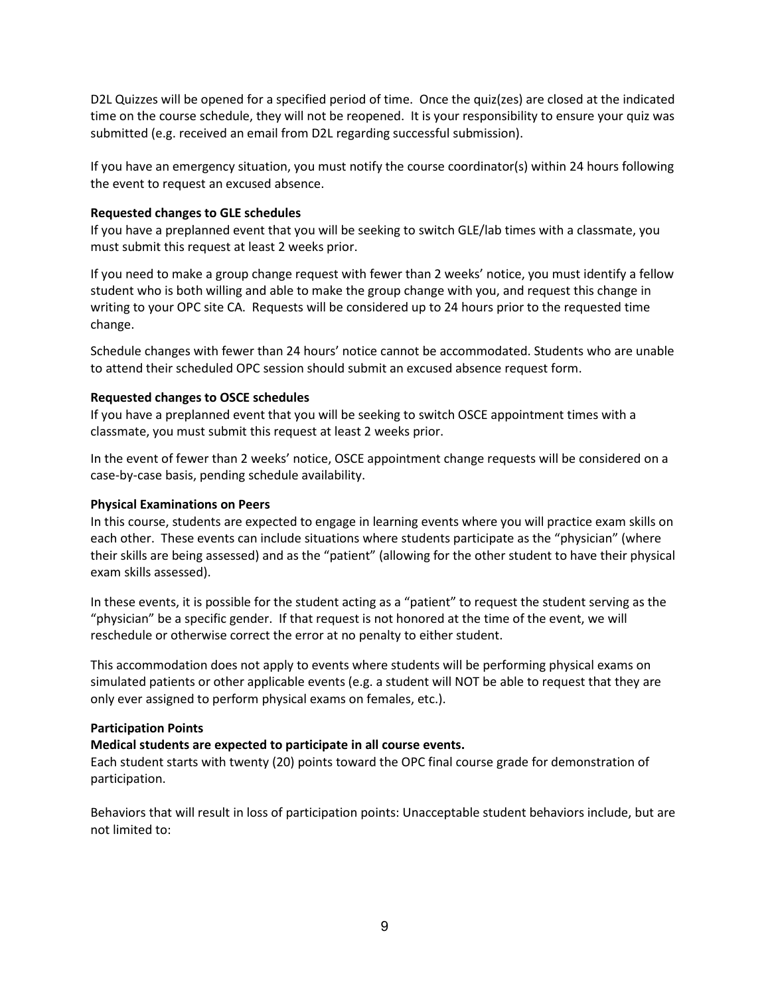D2L Quizzes will be opened for a specified period of time. Once the quiz(zes) are closed at the indicated time on the course schedule, they will not be reopened. It is your responsibility to ensure your quiz was submitted (e.g. received an email from D2L regarding successful submission).

If you have an emergency situation, you must notify the course coordinator(s) within 24 hours following the event to request an excused absence.

# **Requested changes to GLE schedules**

If you have a preplanned event that you will be seeking to switch GLE/lab times with a classmate, you must submit this request at least 2 weeks prior.

If you need to make a group change request with fewer than 2 weeks' notice, you must identify a fellow student who is both willing and able to make the group change with you, and request this change in writing to your OPC site CA. Requests will be considered up to 24 hours prior to the requested time change.

Schedule changes with fewer than 24 hours' notice cannot be accommodated. Students who are unable to attend their scheduled OPC session should submit an excused absence request form.

# **Requested changes to OSCE schedules**

If you have a preplanned event that you will be seeking to switch OSCE appointment times with a classmate, you must submit this request at least 2 weeks prior.

In the event of fewer than 2 weeks' notice, OSCE appointment change requests will be considered on a case-by-case basis, pending schedule availability.

## **Physical Examinations on Peers**

In this course, students are expected to engage in learning events where you will practice exam skills on each other. These events can include situations where students participate as the "physician" (where their skills are being assessed) and as the "patient" (allowing for the other student to have their physical exam skills assessed).

In these events, it is possible for the student acting as a "patient" to request the student serving as the "physician" be a specific gender. If that request is not honored at the time of the event, we will reschedule or otherwise correct the error at no penalty to either student.

This accommodation does not apply to events where students will be performing physical exams on simulated patients or other applicable events (e.g. a student will NOT be able to request that they are only ever assigned to perform physical exams on females, etc.).

# <span id="page-8-0"></span>**Participation Points**

# **Medical students are expected to participate in all course events.**

Each student starts with twenty (20) points toward the OPC final course grade for demonstration of participation.

Behaviors that will result in loss of participation points: Unacceptable student behaviors include, but are not limited to: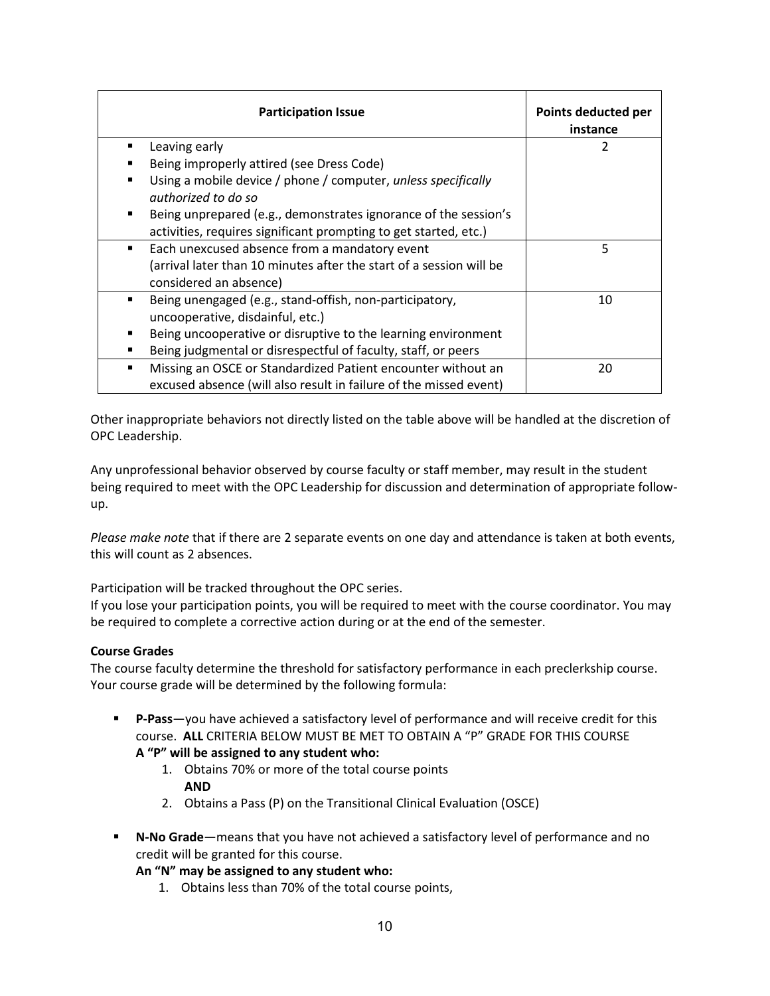|                | <b>Participation Issue</b>                                                           | Points deducted per<br>instance |
|----------------|--------------------------------------------------------------------------------------|---------------------------------|
| п              | Leaving early                                                                        | 2                               |
|                | Being improperly attired (see Dress Code)                                            |                                 |
| $\blacksquare$ | Using a mobile device / phone / computer, unless specifically<br>authorized to do so |                                 |
| ٠              | Being unprepared (e.g., demonstrates ignorance of the session's                      |                                 |
|                | activities, requires significant prompting to get started, etc.)                     |                                 |
| ٠              | Each unexcused absence from a mandatory event                                        | 5                               |
|                | (arrival later than 10 minutes after the start of a session will be                  |                                 |
|                | considered an absence)                                                               |                                 |
| п              | Being unengaged (e.g., stand-offish, non-participatory,                              | 10                              |
|                | uncooperative, disdainful, etc.)                                                     |                                 |
| п              | Being uncooperative or disruptive to the learning environment                        |                                 |
| $\blacksquare$ | Being judgmental or disrespectful of faculty, staff, or peers                        |                                 |
| п              | Missing an OSCE or Standardized Patient encounter without an                         | 20                              |
|                | excused absence (will also result in failure of the missed event)                    |                                 |

Other inappropriate behaviors not directly listed on the table above will be handled at the discretion of OPC Leadership.

Any unprofessional behavior observed by course faculty or staff member, may result in the student being required to meet with the OPC Leadership for discussion and determination of appropriate followup.

*Please make note* that if there are 2 separate events on one day and attendance is taken at both events, this will count as 2 absences.

Participation will be tracked throughout the OPC series.

If you lose your participation points, you will be required to meet with the course coordinator. You may be required to complete a corrective action during or at the end of the semester.

# <span id="page-9-0"></span>**Course Grades**

The course faculty determine the threshold for satisfactory performance in each preclerkship course. Your course grade will be determined by the following formula:

 **P-Pass**—you have achieved a satisfactory level of performance and will receive credit for this course. **ALL** CRITERIA BELOW MUST BE MET TO OBTAIN A "P" GRADE FOR THIS COURSE

# **A "P" will be assigned to any student who:**

- 1. Obtains 70% or more of the total course points **AND**
- 2. Obtains a Pass (P) on the Transitional Clinical Evaluation (OSCE)
- **N-No Grade**—means that you have not achieved a satisfactory level of performance and no credit will be granted for this course.

# **An "N" may be assigned to any student who:**

1. Obtains less than 70% of the total course points,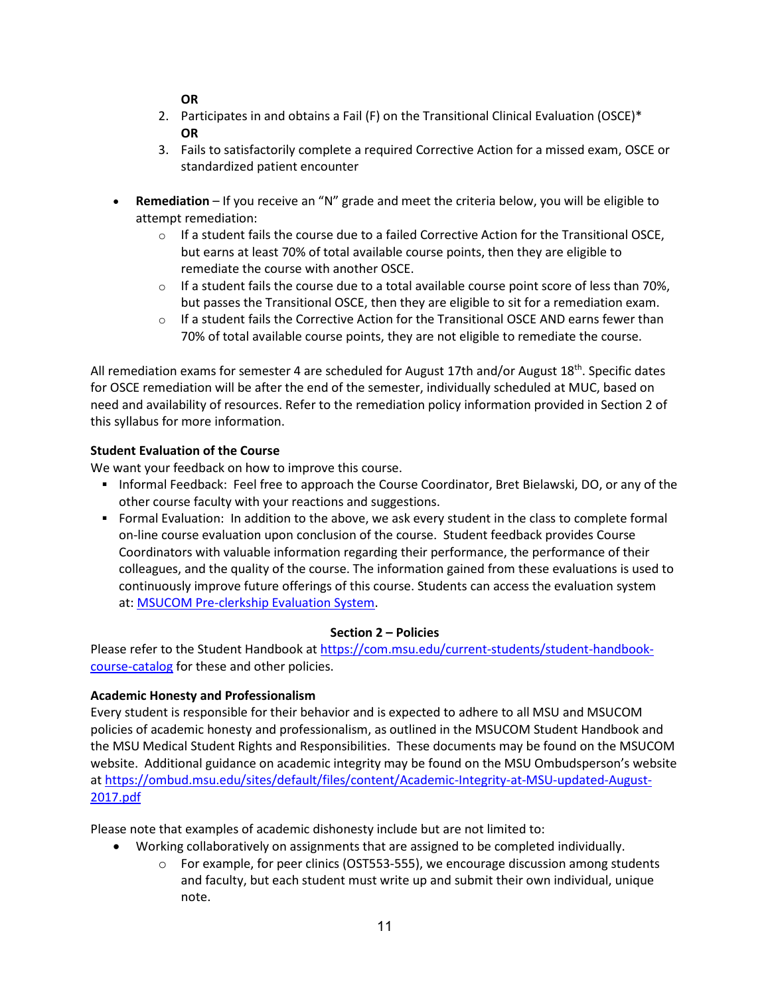**OR**

- 2. Participates in and obtains a Fail (F) on the Transitional Clinical Evaluation (OSCE)\* **OR**
- 3. Fails to satisfactorily complete a required Corrective Action for a missed exam, OSCE or standardized patient encounter
- **Remediation**  If you receive an "N" grade and meet the criteria below, you will be eligible to attempt remediation:
	- $\circ$  If a student fails the course due to a failed Corrective Action for the Transitional OSCE, but earns at least 70% of total available course points, then they are eligible to remediate the course with another OSCE.
	- $\circ$  If a student fails the course due to a total available course point score of less than 70%, but passes the Transitional OSCE, then they are eligible to sit for a remediation exam.
	- $\circ$  If a student fails the Corrective Action for the Transitional OSCE AND earns fewer than 70% of total available course points, they are not eligible to remediate the course.

All remediation exams for semester 4 are scheduled for August 17th and/or August 18<sup>th</sup>. Specific dates for OSCE remediation will be after the end of the semester, individually scheduled at MUC, based on need and availability of resources. Refer to the remediation policy information provided in Section 2 of this syllabus for more information.

# <span id="page-10-0"></span>**Student Evaluation of the Course**

We want your feedback on how to improve this course.

- Informal Feedback: Feel free to approach the Course Coordinator, Bret Bielawski, DO, or any of the other course faculty with your reactions and suggestions.
- Formal Evaluation: In addition to the above, we ask every student in the class to complete formal on-line course evaluation upon conclusion of the course. Student feedback provides Course Coordinators with valuable information regarding their performance, the performance of their colleagues, and the quality of the course. The information gained from these evaluations is used to continuously improve future offerings of this course. Students can access the evaluation system at: [MSUCOM Pre-clerkship Evaluation System.](https://hit-filemakerwb.hc.msu.edu/MED12_Eval/Index.html)

# **Section 2 – Policies**

Please refer to the Student Handbook at [https://com.msu.edu/current-students/student-handbook](https://com.msu.edu/current-students/student-handbook-course-catalog)[course-catalog](https://com.msu.edu/current-students/student-handbook-course-catalog) for these and other policies.

# <span id="page-10-1"></span>**Academic Honesty and Professionalism**

Every student is responsible for their behavior and is expected to adhere to all MSU and MSUCOM policies of academic honesty and professionalism, as outlined in the MSUCOM Student Handbook and the MSU Medical Student Rights and Responsibilities. These documents may be found on the MSUCOM website. Additional guidance on academic integrity may be found on the MSU Ombudsperson's website at [https://ombud.msu.edu/sites/default/files/content/Academic-Integrity-at-MSU-updated-August-](https://ombud.msu.edu/sites/default/files/content/Academic-Integrity-at-MSU-updated-August-2017.pdf)[2017.pdf](https://ombud.msu.edu/sites/default/files/content/Academic-Integrity-at-MSU-updated-August-2017.pdf)

Please note that examples of academic dishonesty include but are not limited to:

- Working collaboratively on assignments that are assigned to be completed individually.
	- $\circ$  For example, for peer clinics (OST553-555), we encourage discussion among students and faculty, but each student must write up and submit their own individual, unique note.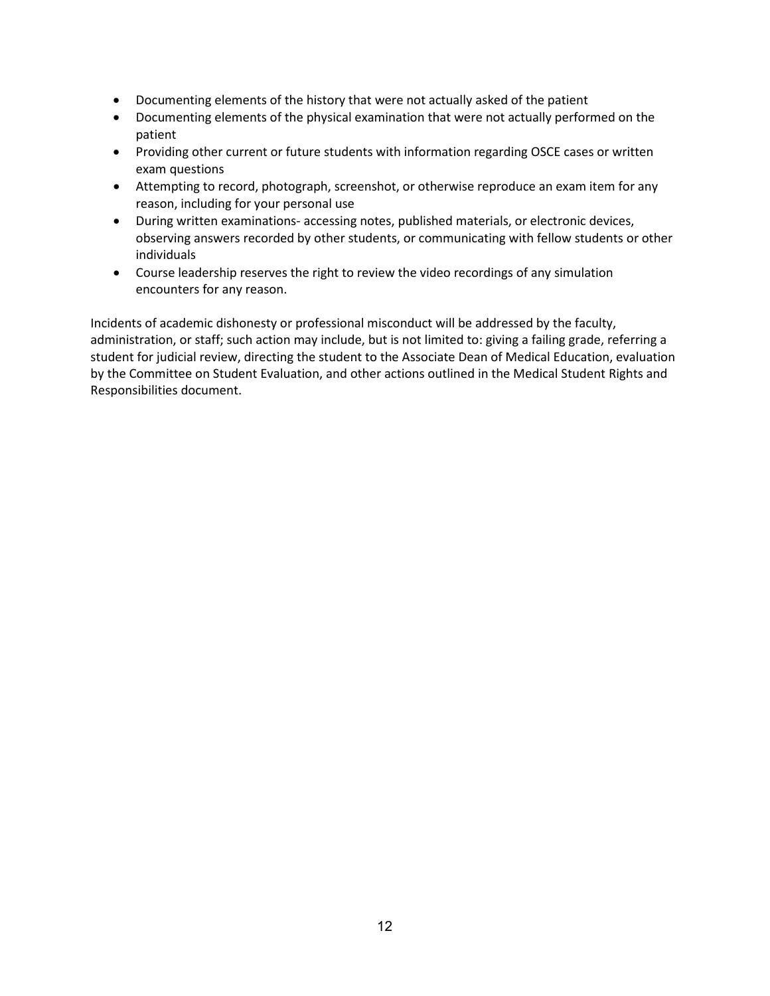- Documenting elements of the history that were not actually asked of the patient
- Documenting elements of the physical examination that were not actually performed on the patient
- Providing other current or future students with information regarding OSCE cases or written exam questions
- Attempting to record, photograph, screenshot, or otherwise reproduce an exam item for any reason, including for your personal use
- During written examinations- accessing notes, published materials, or electronic devices, observing answers recorded by other students, or communicating with fellow students or other individuals
- Course leadership reserves the right to review the video recordings of any simulation encounters for any reason.

Incidents of academic dishonesty or professional misconduct will be addressed by the faculty, administration, or staff; such action may include, but is not limited to: giving a failing grade, referring a student for judicial review, directing the student to the Associate Dean of Medical Education, evaluation by the Committee on Student Evaluation, and other actions outlined in the Medical Student Rights and Responsibilities document.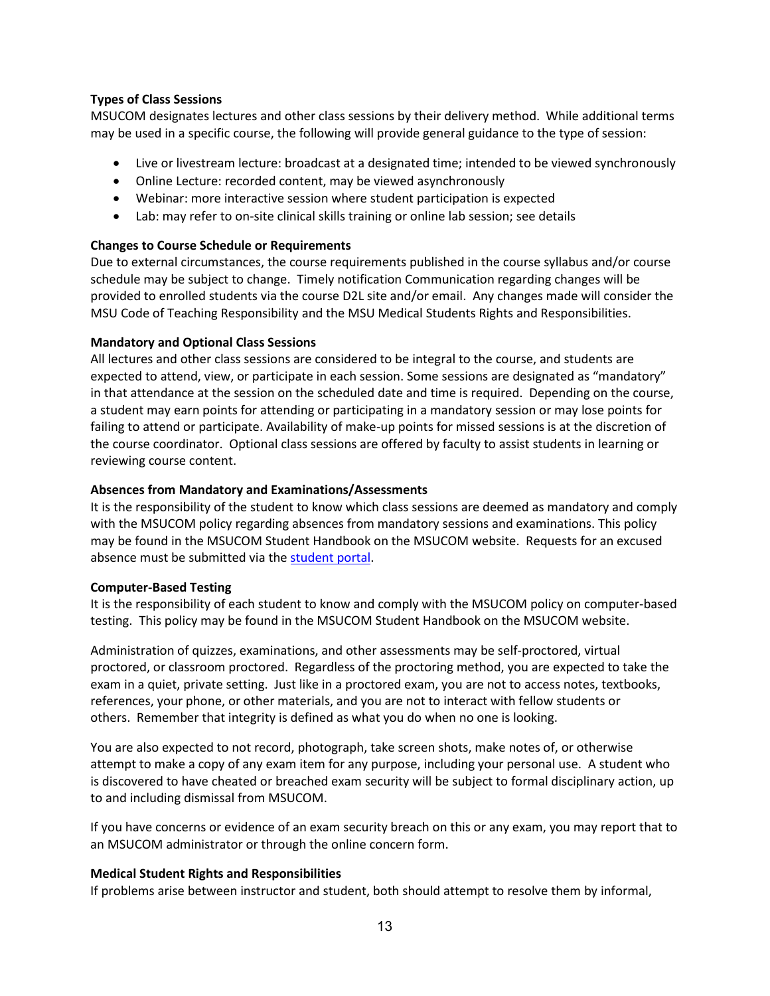# <span id="page-12-0"></span>**Types of Class Sessions**

MSUCOM designates lectures and other class sessions by their delivery method. While additional terms may be used in a specific course, the following will provide general guidance to the type of session:

- Live or livestream lecture: broadcast at a designated time; intended to be viewed synchronously
- Online Lecture: recorded content, may be viewed asynchronously
- Webinar: more interactive session where student participation is expected
- Lab: may refer to on-site clinical skills training or online lab session; see details

# **Changes to Course Schedule or Requirements**

Due to external circumstances, the course requirements published in the course syllabus and/or course schedule may be subject to change. Timely notification Communication regarding changes will be provided to enrolled students via the course D2L site and/or email. Any changes made will consider the MSU Code of Teaching Responsibility and the MSU Medical Students Rights and Responsibilities.

# <span id="page-12-1"></span>**Mandatory and Optional Class Sessions**

All lectures and other class sessions are considered to be integral to the course, and students are expected to attend, view, or participate in each session. Some sessions are designated as "mandatory" in that attendance at the session on the scheduled date and time is required. Depending on the course, a student may earn points for attending or participating in a mandatory session or may lose points for failing to attend or participate. Availability of make-up points for missed sessions is at the discretion of the course coordinator. Optional class sessions are offered by faculty to assist students in learning or reviewing course content.

# <span id="page-12-2"></span>**Absences from Mandatory and Examinations/Assessments**

It is the responsibility of the student to know which class sessions are deemed as mandatory and comply with the MSUCOM policy regarding absences from mandatory sessions and examinations. This policy may be found in the MSUCOM Student Handbook on the MSUCOM website. Requests for an excused absence must be submitted via the [student portal.](https://studentportal.com.msu.edu/)

### <span id="page-12-3"></span>**Computer-Based Testing**

It is the responsibility of each student to know and comply with the MSUCOM policy on computer-based testing. This policy may be found in the MSUCOM Student Handbook on the MSUCOM website.

Administration of quizzes, examinations, and other assessments may be self-proctored, virtual proctored, or classroom proctored. Regardless of the proctoring method, you are expected to take the exam in a quiet, private setting. Just like in a proctored exam, you are not to access notes, textbooks, references, your phone, or other materials, and you are not to interact with fellow students or others. Remember that integrity is defined as what you do when no one is looking.

You are also expected to not record, photograph, take screen shots, make notes of, or otherwise attempt to make a copy of any exam item for any purpose, including your personal use. A student who is discovered to have cheated or breached exam security will be subject to formal disciplinary action, up to and including dismissal from MSUCOM.

If you have concerns or evidence of an exam security breach on this or any exam, you may report that to an MSUCOM administrator or through the online concern form.

# <span id="page-12-4"></span>**Medical Student Rights and Responsibilities**

If problems arise between instructor and student, both should attempt to resolve them by informal,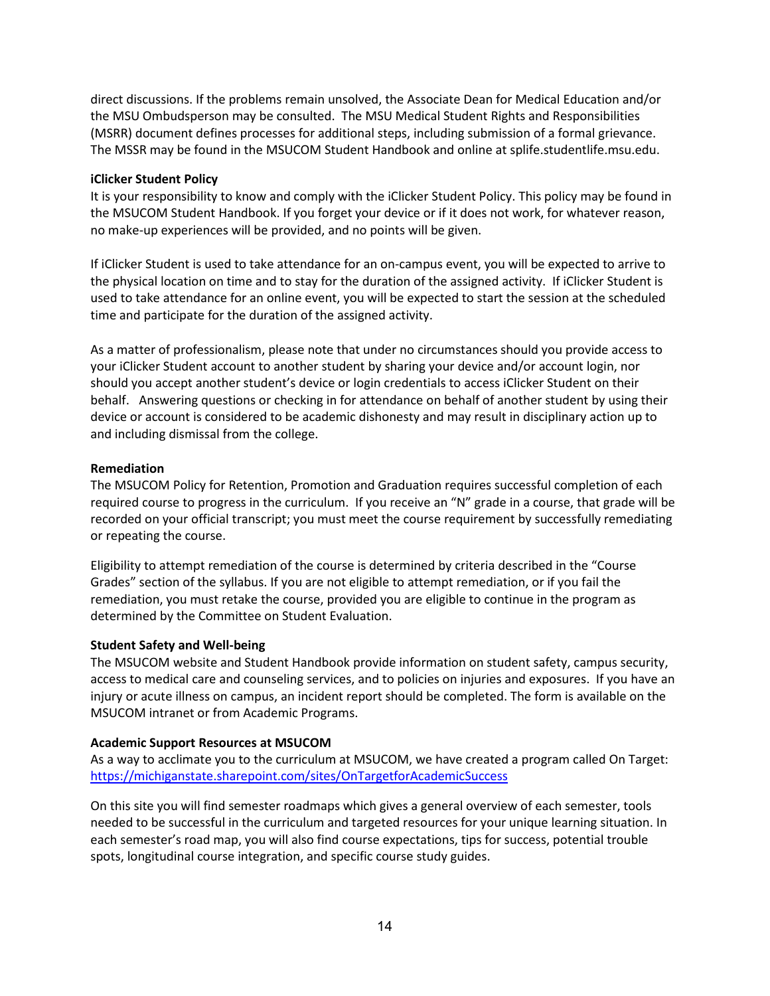direct discussions. If the problems remain unsolved, the Associate Dean for Medical Education and/or the MSU Ombudsperson may be consulted. The MSU Medical Student Rights and Responsibilities (MSRR) document defines processes for additional steps, including submission of a formal grievance. The MSSR may be found in the MSUCOM Student Handbook and online at splife.studentlife.msu.edu.

# **iClicker Student Policy**

It is your responsibility to know and comply with the iClicker Student Policy. This policy may be found in the MSUCOM Student Handbook. If you forget your device or if it does not work, for whatever reason, no make-up experiences will be provided, and no points will be given.

If iClicker Student is used to take attendance for an on-campus event, you will be expected to arrive to the physical location on time and to stay for the duration of the assigned activity. If iClicker Student is used to take attendance for an online event, you will be expected to start the session at the scheduled time and participate for the duration of the assigned activity.

As a matter of professionalism, please note that under no circumstances should you provide access to your iClicker Student account to another student by sharing your device and/or account login, nor should you accept another student's device or login credentials to access iClicker Student on their behalf. Answering questions or checking in for attendance on behalf of another student by using their device or account is considered to be academic dishonesty and may result in disciplinary action up to and including dismissal from the college.

# <span id="page-13-0"></span>**Remediation**

The MSUCOM Policy for Retention, Promotion and Graduation requires successful completion of each required course to progress in the curriculum. If you receive an "N" grade in a course, that grade will be recorded on your official transcript; you must meet the course requirement by successfully remediating or repeating the course.

Eligibility to attempt remediation of the course is determined by criteria described in the "Course Grades" section of the syllabus. If you are not eligible to attempt remediation, or if you fail the remediation, you must retake the course, provided you are eligible to continue in the program as determined by the Committee on Student Evaluation.

### <span id="page-13-1"></span>**Student Safety and Well-being**

The MSUCOM website and Student Handbook provide information on student safety, campus security, access to medical care and counseling services, and to policies on injuries and exposures. If you have an injury or acute illness on campus, an incident report should be completed. The form is available on the MSUCOM intranet or from Academic Programs.

### <span id="page-13-2"></span>**Academic Support Resources at MSUCOM**

As a way to acclimate you to the curriculum at MSUCOM, we have created a program called On Target: <https://michiganstate.sharepoint.com/sites/OnTargetforAcademicSuccess>

On this site you will find semester roadmaps which gives a general overview of each semester, tools needed to be successful in the curriculum and targeted resources for your unique learning situation. In each semester's road map, you will also find course expectations, tips for success, potential trouble spots, longitudinal course integration, and specific course study guides.